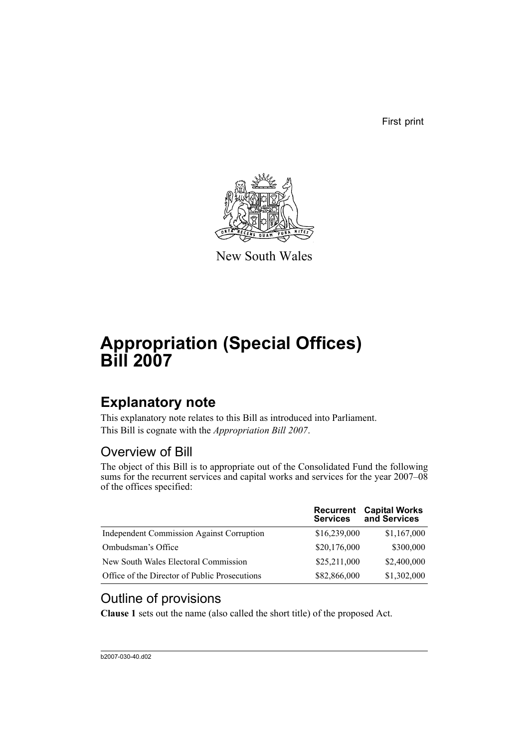First print



New South Wales

# **Appropriation (Special Offices) Bill 2007**

# **Explanatory note**

This explanatory note relates to this Bill as introduced into Parliament. This Bill is cognate with the *Appropriation Bill 2007*.

## Overview of Bill

The object of this Bill is to appropriate out of the Consolidated Fund the following sums for the recurrent services and capital works and services for the year 2007–08 of the offices specified:

|                                                  | <b>Recurrent</b><br><b>Services</b> | <b>Capital Works</b><br>and Services |
|--------------------------------------------------|-------------------------------------|--------------------------------------|
| <b>Independent Commission Against Corruption</b> | \$16,239,000                        | \$1,167,000                          |
| Ombudsman's Office                               | \$20,176,000                        | \$300,000                            |
| New South Wales Electoral Commission             | \$25,211,000                        | \$2,400,000                          |
| Office of the Director of Public Prosecutions    | \$82,866,000                        | \$1,302,000                          |

## Outline of provisions

**Clause 1** sets out the name (also called the short title) of the proposed Act.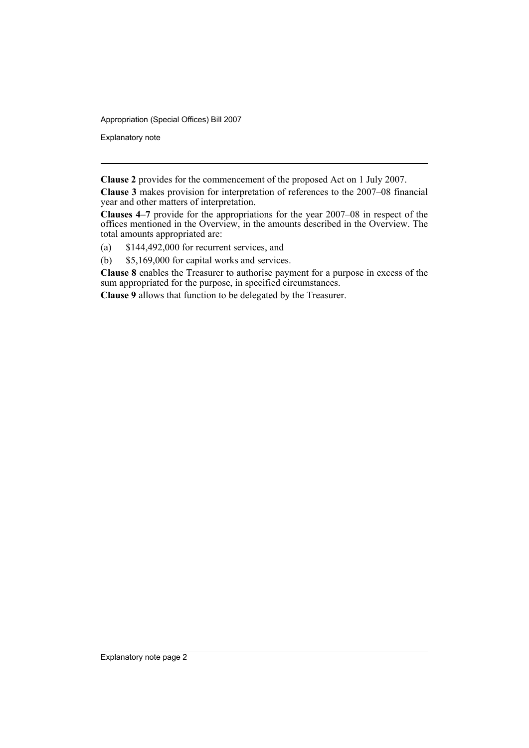Appropriation (Special Offices) Bill 2007

Explanatory note

**Clause 2** provides for the commencement of the proposed Act on 1 July 2007.

**Clause 3** makes provision for interpretation of references to the 2007–08 financial year and other matters of interpretation.

**Clauses 4–7** provide for the appropriations for the year 2007–08 in respect of the offices mentioned in the Overview, in the amounts described in the Overview. The total amounts appropriated are:

- (a) \$144,492,000 for recurrent services, and
- (b) \$5,169,000 for capital works and services.

**Clause 8** enables the Treasurer to authorise payment for a purpose in excess of the sum appropriated for the purpose, in specified circumstances.

**Clause 9** allows that function to be delegated by the Treasurer.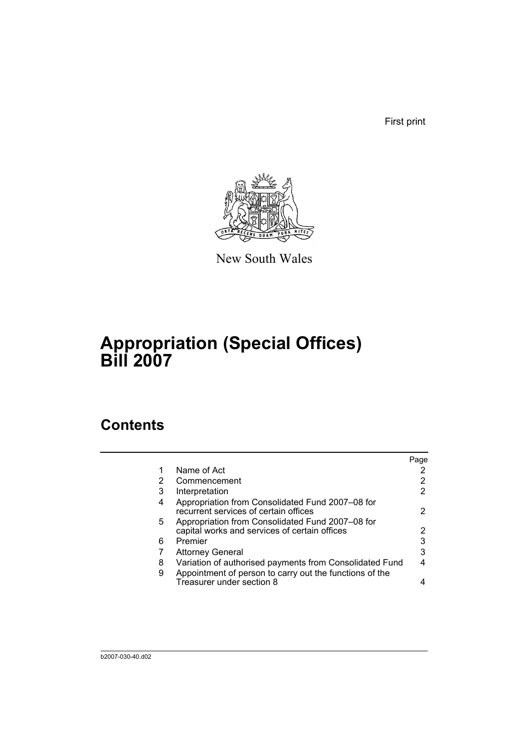First print



New South Wales

# **Appropriation (Special Offices) Bill 2007**

## **Contents**

|        |                                                                                                                    | Page |
|--------|--------------------------------------------------------------------------------------------------------------------|------|
| 1      | Name of Act                                                                                                        |      |
| 2      | Commencement                                                                                                       |      |
| 3      | Interpretation                                                                                                     | 2    |
| 4      | Appropriation from Consolidated Fund 2007-08 for<br>recurrent services of certain offices                          |      |
| 5.     | Appropriation from Consolidated Fund 2007-08 for<br>capital works and services of certain offices                  | 2    |
| 6      | Premier                                                                                                            | 3    |
|        | <b>Attorney General</b>                                                                                            | 3    |
| 8<br>9 | Variation of authorised payments from Consolidated Fund<br>Appointment of person to carry out the functions of the |      |
|        | Treasurer under section 8                                                                                          |      |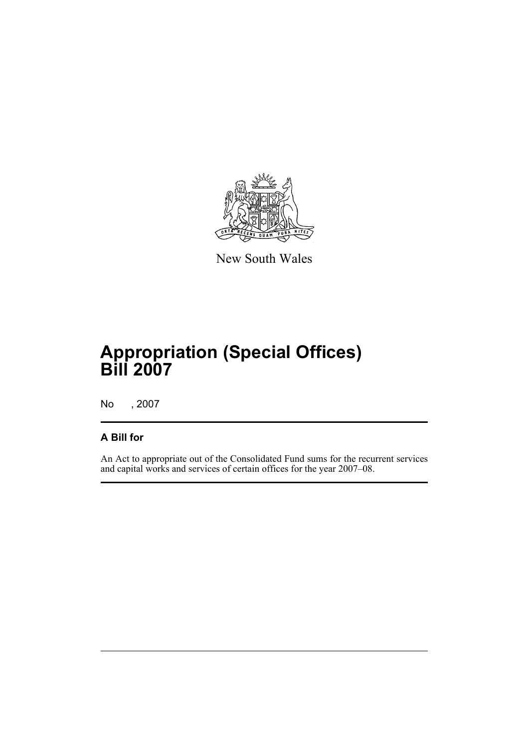

New South Wales

# **Appropriation (Special Offices) Bill 2007**

No , 2007

## **A Bill for**

An Act to appropriate out of the Consolidated Fund sums for the recurrent services and capital works and services of certain offices for the year 2007–08.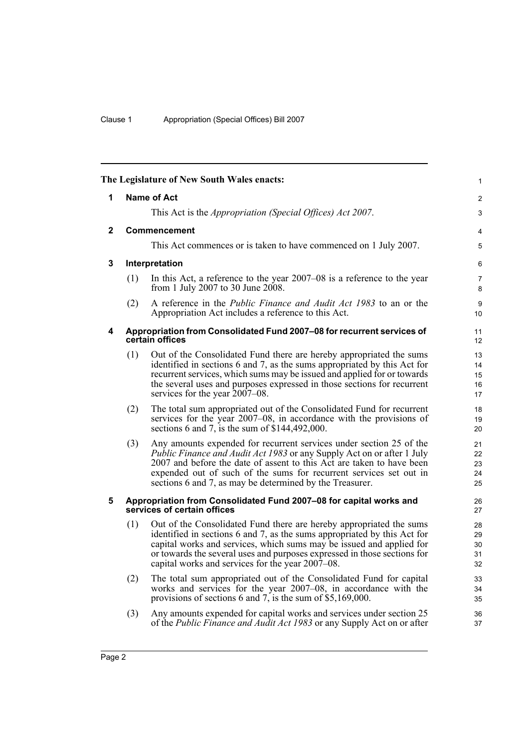<span id="page-5-4"></span><span id="page-5-3"></span><span id="page-5-2"></span><span id="page-5-1"></span><span id="page-5-0"></span>

|              |     | The Legislature of New South Wales enacts:                                                                                                                                                                                                                                                                                                                      | $\mathbf{1}$               |
|--------------|-----|-----------------------------------------------------------------------------------------------------------------------------------------------------------------------------------------------------------------------------------------------------------------------------------------------------------------------------------------------------------------|----------------------------|
| 1            |     | <b>Name of Act</b>                                                                                                                                                                                                                                                                                                                                              | $\overline{2}$             |
|              |     | This Act is the <i>Appropriation (Special Offices) Act 2007</i> .                                                                                                                                                                                                                                                                                               | 3                          |
| $\mathbf{2}$ |     | Commencement                                                                                                                                                                                                                                                                                                                                                    | 4                          |
|              |     | This Act commences or is taken to have commenced on 1 July 2007.                                                                                                                                                                                                                                                                                                | 5                          |
| 3            |     | Interpretation                                                                                                                                                                                                                                                                                                                                                  | 6                          |
|              | (1) | In this Act, a reference to the year 2007–08 is a reference to the year<br>from 1 July 2007 to 30 June 2008.                                                                                                                                                                                                                                                    | $\overline{7}$<br>8        |
|              | (2) | A reference in the <i>Public Finance and Audit Act 1983</i> to an or the<br>Appropriation Act includes a reference to this Act.                                                                                                                                                                                                                                 | 9<br>10 <sup>1</sup>       |
| 4            |     | Appropriation from Consolidated Fund 2007-08 for recurrent services of<br>certain offices                                                                                                                                                                                                                                                                       | 11<br>12 <sup>2</sup>      |
|              | (1) | Out of the Consolidated Fund there are hereby appropriated the sums<br>identified in sections 6 and 7, as the sums appropriated by this Act for<br>recurrent services, which sums may be issued and applied for or towards<br>the several uses and purposes expressed in those sections for recurrent<br>services for the year 2007–08.                         | 13<br>14<br>15<br>16<br>17 |
|              | (2) | The total sum appropriated out of the Consolidated Fund for recurrent<br>services for the year 2007–08, in accordance with the provisions of<br>sections 6 and 7, is the sum of $$144,492,000$ .                                                                                                                                                                | 18<br>19<br>20             |
|              | (3) | Any amounts expended for recurrent services under section 25 of the<br><i>Public Finance and Audit Act 1983</i> or any Supply Act on or after 1 July<br>2007 and before the date of assent to this Act are taken to have been<br>expended out of such of the sums for recurrent services set out in<br>sections 6 and 7, as may be determined by the Treasurer. | 21<br>22<br>23<br>24<br>25 |
| 5            |     | Appropriation from Consolidated Fund 2007-08 for capital works and<br>services of certain offices                                                                                                                                                                                                                                                               | 26<br>27                   |
|              | (1) | Out of the Consolidated Fund there are hereby appropriated the sums<br>identified in sections 6 and 7, as the sums appropriated by this Act for<br>capital works and services, which sums may be issued and applied for<br>or towards the several uses and purposes expressed in those sections for<br>capital works and services for the year 2007–08.         | 28<br>29<br>30<br>31<br>32 |
|              | (2) | The total sum appropriated out of the Consolidated Fund for capital<br>works and services for the year 2007–08, in accordance with the<br>provisions of sections 6 and 7, is the sum of \$5,169,000.                                                                                                                                                            | 33<br>34<br>35             |
|              | (3) | Any amounts expended for capital works and services under section 25<br>of the <i>Public Finance and Audit Act 1983</i> or any Supply Act on or after                                                                                                                                                                                                           | 36<br>37                   |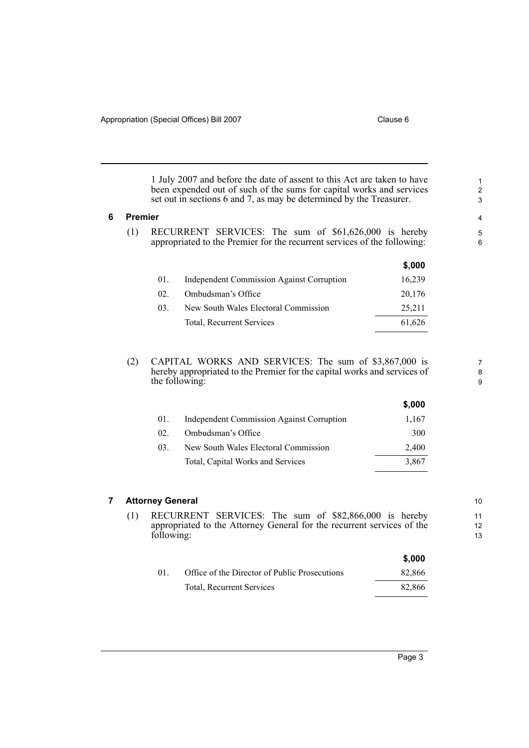**\$,000**

**\$,000**

1 July 2007 and before the date of assent to this Act are taken to have been expended out of such of the sums for capital works and services set out in sections 6 and 7, as may be determined by the Treasurer.

### <span id="page-6-0"></span>**6 Premier**

(1) RECURRENT SERVICES: The sum of \$61,626,000 is hereby appropriated to the Premier for the recurrent services of the following:

|     |                                                  | J.UUU  |
|-----|--------------------------------------------------|--------|
| 01. | <b>Independent Commission Against Corruption</b> | 16,239 |
| 02. | Ombudsman's Office                               | 20,176 |
| 03. | New South Wales Electoral Commission             | 25,211 |
|     | Total, Recurrent Services                        | 61,626 |
|     |                                                  |        |

(2) CAPITAL WORKS AND SERVICES: The sum of \$3,867,000 is hereby appropriated to the Premier for the capital works and services of the following:

|          |                                                  | J,UUU |
|----------|--------------------------------------------------|-------|
| 01.      | <b>Independent Commission Against Corruption</b> | 1,167 |
| $02_{-}$ | Ombudsman's Office                               | 300   |
| 03.      | New South Wales Electoral Commission             | 2,400 |
|          | Total, Capital Works and Services                | 3.867 |
|          |                                                  |       |

## <span id="page-6-1"></span>**7 Attorney General**

(1) RECURRENT SERVICES: The sum of \$82,866,000 is hereby appropriated to the Attorney General for the recurrent services of the following:

|    |                                               | \$.000 |
|----|-----------------------------------------------|--------|
| 01 | Office of the Director of Public Prosecutions | 82,866 |
|    | Total, Recurrent Services                     | 82.866 |

10

7 8 9

11

12 13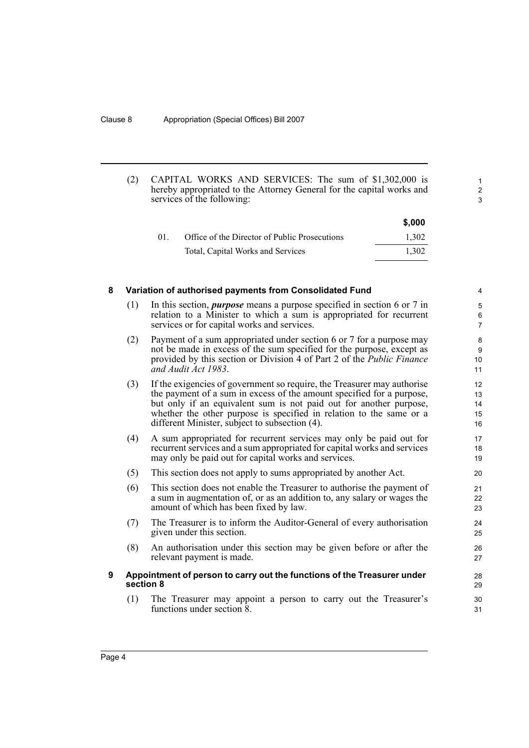(2) CAPITAL WORKS AND SERVICES: The sum of \$1,302,000 is hereby appropriated to the Attorney General for the capital works and services of the following:

|          |                                               | \$,000 |
|----------|-----------------------------------------------|--------|
| $01_{-}$ | Office of the Director of Public Prosecutions | 1.302  |
|          | Total, Capital Works and Services             | 1.302  |

1 2 3

## <span id="page-7-0"></span>**8 Variation of authorised payments from Consolidated Fund** (1) In this section, *purpose* means a purpose specified in section 6 or 7 in relation to a Minister to which a sum is appropriated for recurrent

- services or for capital works and services. (2) Payment of a sum appropriated under section 6 or 7 for a purpose may not be made in excess of the sum specified for the purpose, except as provided by this section or Division 4 of Part 2 of the *Public Finance and Audit Act 1983*.
- (3) If the exigencies of government so require, the Treasurer may authorise the payment of a sum in excess of the amount specified for a purpose, but only if an equivalent sum is not paid out for another purpose, whether the other purpose is specified in relation to the same or a different Minister, subject to subsection (4).
- (4) A sum appropriated for recurrent services may only be paid out for recurrent services and a sum appropriated for capital works and services may only be paid out for capital works and services.
- (5) This section does not apply to sums appropriated by another Act.
- (6) This section does not enable the Treasurer to authorise the payment of a sum in augmentation of, or as an addition to, any salary or wages the amount of which has been fixed by law.
- (7) The Treasurer is to inform the Auditor-General of every authorisation given under this section.
- (8) An authorisation under this section may be given before or after the relevant payment is made.

## <span id="page-7-1"></span>**9 Appointment of person to carry out the functions of the Treasurer under section 8**

(1) The Treasurer may appoint a person to carry out the Treasurer's functions under section 8.